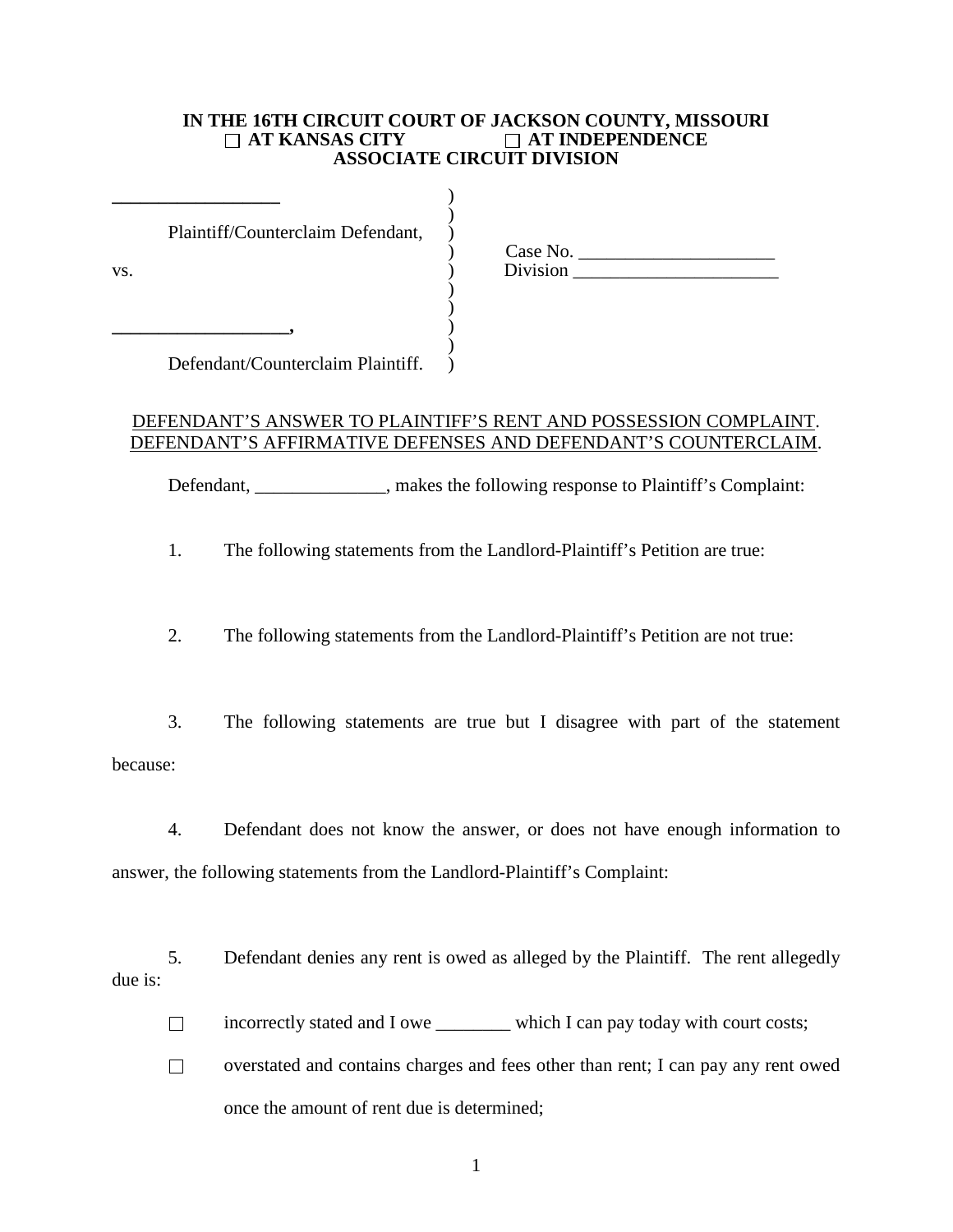### **IN THE 16TH CIRCUIT COURT OF JACKSON COUNTY, MISSOURI**<br>  $\Box$  AT KANSAS CITY  $\Box$  AT INDEPENDENCE **AT KANSAS CITY AT INDEPENDENCE ASSOCIATE CIRCUIT DIVISION**

| VS. | Plaintiff/Counterclaim Defendant, | Case No.<br>Division |  |
|-----|-----------------------------------|----------------------|--|
|     |                                   |                      |  |

Defendant/Counterclaim Plaintiff. )

## DEFENDANT'S ANSWER TO PLAINTIFF'S RENT AND POSSESSION COMPLAINT. DEFENDANT'S AFFIRMATIVE DEFENSES AND DEFENDANT'S COUNTERCLAIM.

Defendant, \_\_\_\_\_\_\_\_\_\_\_\_\_, makes the following response to Plaintiff's Complaint:

1. The following statements from the Landlord-Plaintiff's Petition are true:

2. The following statements from the Landlord-Plaintiff's Petition are not true:

3. The following statements are true but I disagree with part of the statement because:

4. Defendant does not know the answer, or does not have enough information to answer, the following statements from the Landlord-Plaintiff's Complaint:

5. Defendant denies any rent is owed as alleged by the Plaintiff. The rent allegedly due is:

incorrectly stated and I owe \_\_\_\_\_\_\_\_ which I can pay today with court costs;

 $\Box$  overstated and contains charges and fees other than rent; I can pay any rent owed once the amount of rent due is determined;

1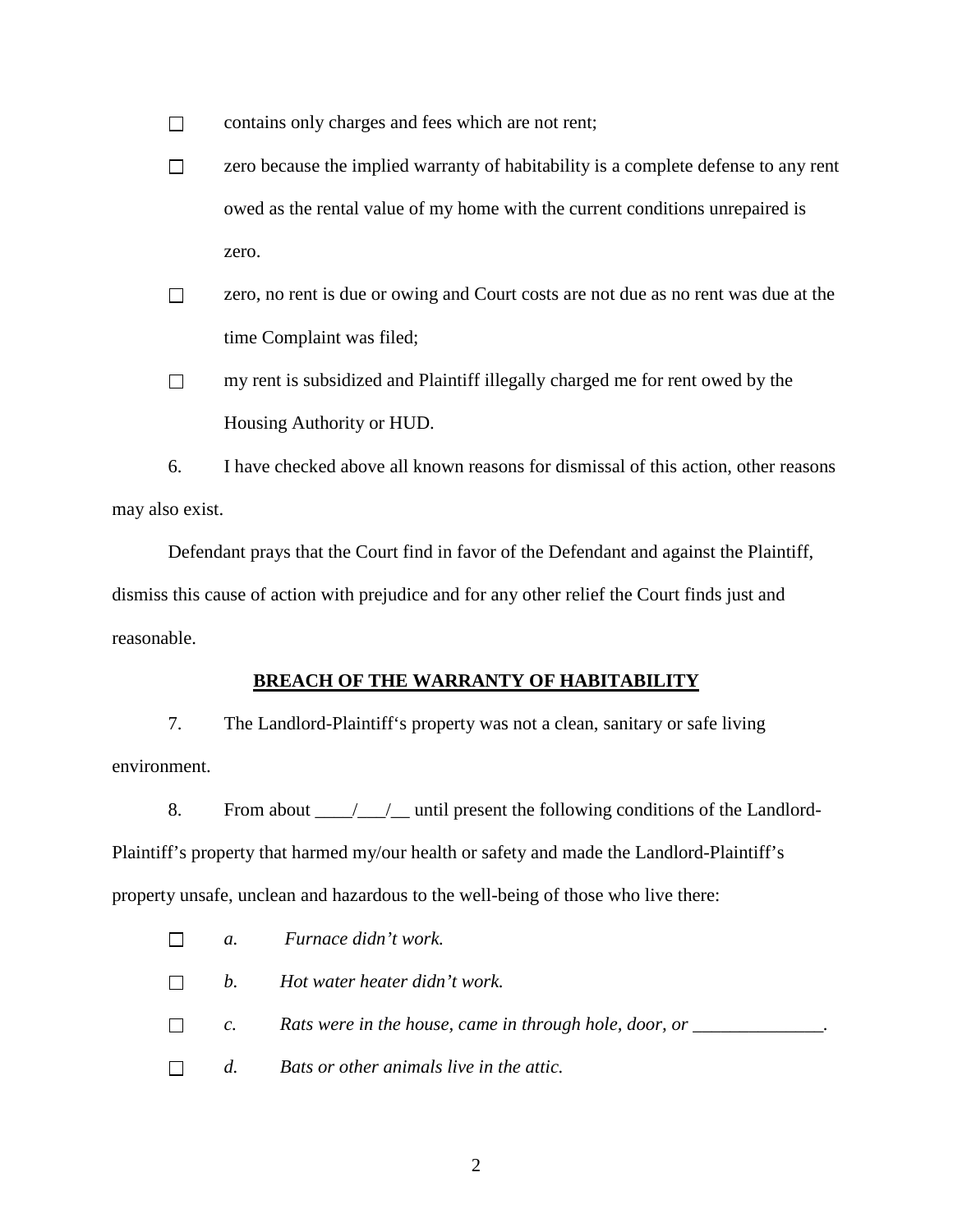$\Box$  contains only charges and fees which are not rent;

- $\Box$  zero because the implied warranty of habitability is a complete defense to any rent owed as the rental value of my home with the current conditions unrepaired is zero.
- zero, no rent is due or owing and Court costs are not due as no rent was due at the time Complaint was filed;
- $\Box$  my rent is subsidized and Plaintiff illegally charged me for rent owed by the Housing Authority or HUD.

6. I have checked above all known reasons for dismissal of this action, other reasons may also exist.

Defendant prays that the Court find in favor of the Defendant and against the Plaintiff, dismiss this cause of action with prejudice and for any other relief the Court finds just and reasonable.

### **BREACH OF THE WARRANTY OF HABITABILITY**

7. The Landlord-Plaintiff's property was not a clean, sanitary or safe living environment.

8. From about \_\_\_\_\_\_\_\_\_\_\_\_\_\_ until present the following conditions of the Landlord-Plaintiff's property that harmed my/our health or safety and made the Landlord-Plaintiff's property unsafe, unclean and hazardous to the well-being of those who live there:

- *a. Furnace didn't work.*  $\Box$
- *b. Hot water heater didn't work.*  $\Box$
- $\Box$ *c. Rats were in the house, came in through hole, door, or \_\_\_\_\_\_\_\_\_\_\_\_\_\_\_\_.*
- *d. Bats or other animals live in the attic.* $\Box$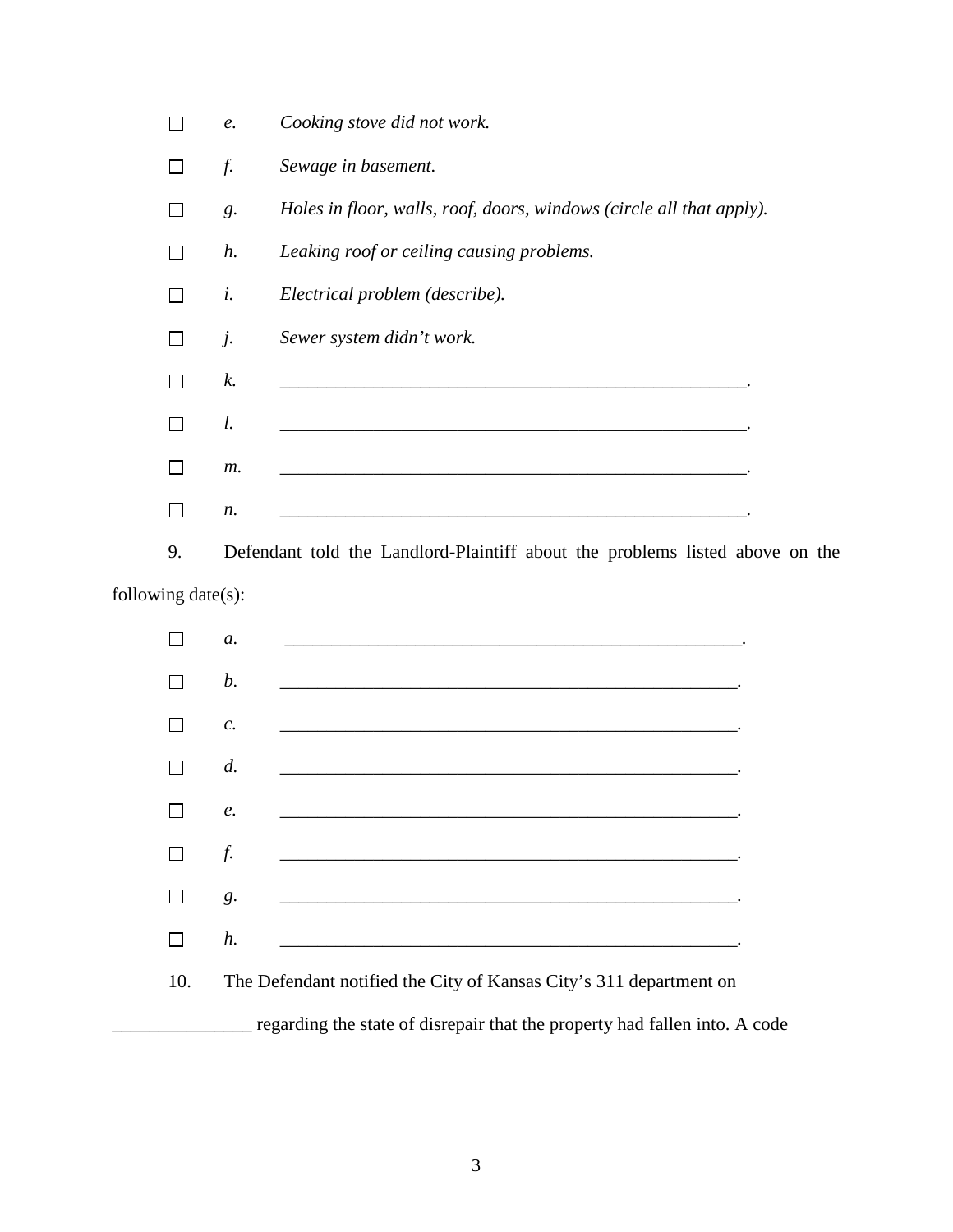|                                                                            | е.             |    | Cooking stove did not work.                                                                                          |  |  |  |
|----------------------------------------------------------------------------|----------------|----|----------------------------------------------------------------------------------------------------------------------|--|--|--|
| $\Box$                                                                     | f.             |    | Sewage in basement.                                                                                                  |  |  |  |
| $\mathsf{L}$                                                               | $g$ .          |    | Holes in floor, walls, roof, doors, windows (circle all that apply).                                                 |  |  |  |
| $\Box$                                                                     | $h$ .          |    | Leaking roof or ceiling causing problems.                                                                            |  |  |  |
| П                                                                          | i.             |    | Electrical problem (describe).                                                                                       |  |  |  |
| $\blacksquare$                                                             | $j$ .          |    | Sewer system didn't work.                                                                                            |  |  |  |
| $\Box$                                                                     | k.             |    |                                                                                                                      |  |  |  |
| П                                                                          | l.             |    |                                                                                                                      |  |  |  |
|                                                                            |                | m. |                                                                                                                      |  |  |  |
| П                                                                          | n.             |    | <u> 2000 - 2000 - 2000 - 2000 - 2000 - 2000 - 2000 - 2000 - 2000 - 2000 - 2000 - 2000 - 2000 - 2000 - 2000 - 200</u> |  |  |  |
| 9.                                                                         |                |    | Defendant told the Landlord-Plaintiff about the problems listed above on the                                         |  |  |  |
| following date(s):                                                         |                |    |                                                                                                                      |  |  |  |
| $\sim$                                                                     | a.             |    |                                                                                                                      |  |  |  |
| $\blacksquare$                                                             | b.             |    |                                                                                                                      |  |  |  |
| $\overline{\phantom{a}}$                                                   | $\mathcal{C}.$ |    |                                                                                                                      |  |  |  |
|                                                                            | d.             |    |                                                                                                                      |  |  |  |
|                                                                            | $\ell$ .       |    | <u> 1980 - Jan James James Barbara, politik eta politikaria (h. 1980).</u>                                           |  |  |  |
| $\blacksquare$                                                             | f.             |    |                                                                                                                      |  |  |  |
| $\sim$                                                                     | g.             |    |                                                                                                                      |  |  |  |
| $\mathsf{L}$                                                               | h.             |    |                                                                                                                      |  |  |  |
| 10.                                                                        |                |    | The Defendant notified the City of Kansas City's 311 department on                                                   |  |  |  |
| regarding the state of disrepair that the property had fallen into. A code |                |    |                                                                                                                      |  |  |  |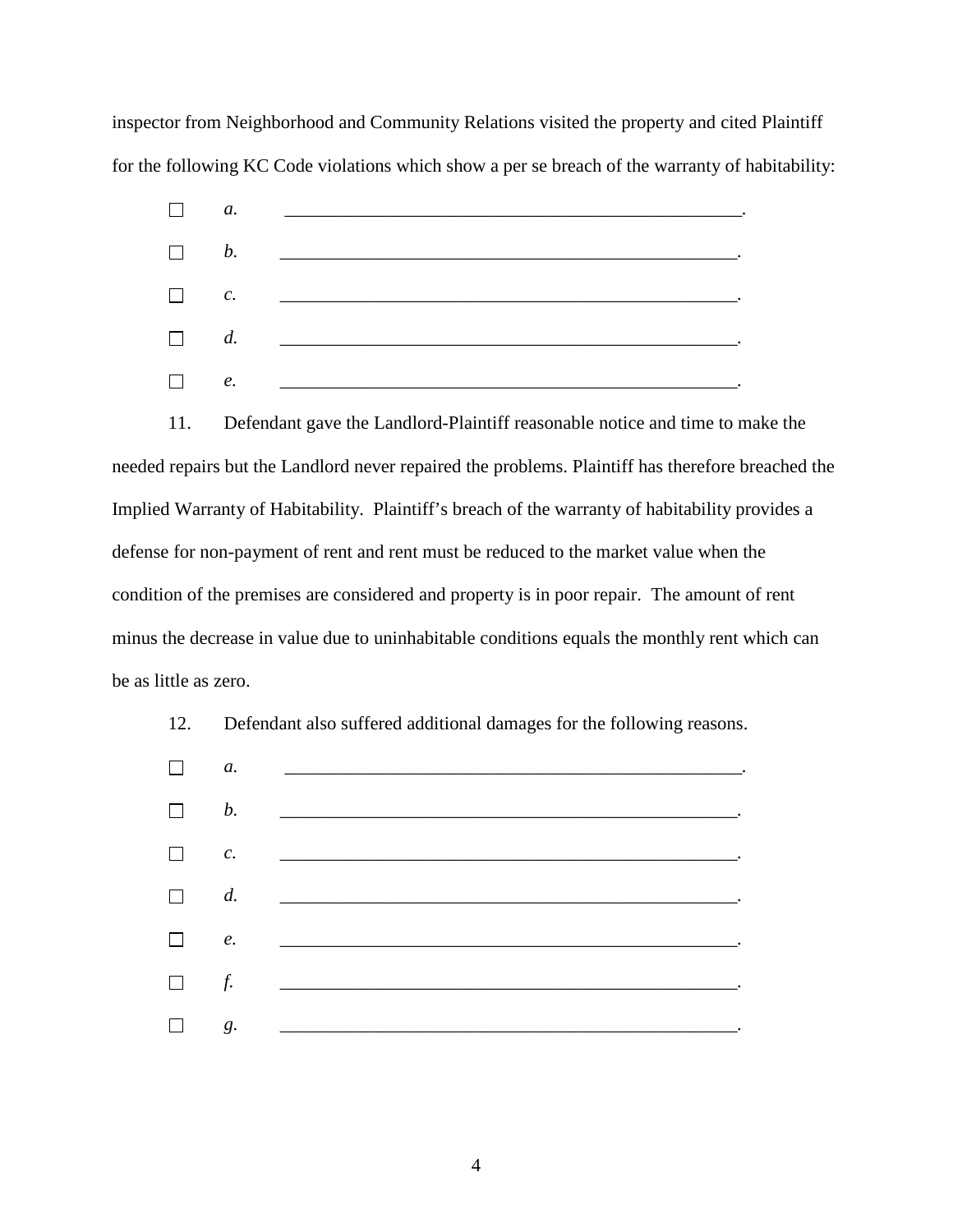inspector from Neighborhood and Community Relations visited the property and cited Plaintiff for the following KC Code violations which show a per se breach of the warranty of habitability:



11. Defendant gave the Landlord-Plaintiff reasonable notice and time to make the needed repairs but the Landlord never repaired the problems. Plaintiff has therefore breached the Implied Warranty of Habitability. Plaintiff's breach of the warranty of habitability provides a defense for non-payment of rent and rent must be reduced to the market value when the condition of the premises are considered and property is in poor repair. The amount of rent minus the decrease in value due to uninhabitable conditions equals the monthly rent which can be as little as zero.



12. Defendant also suffered additional damages for the following reasons.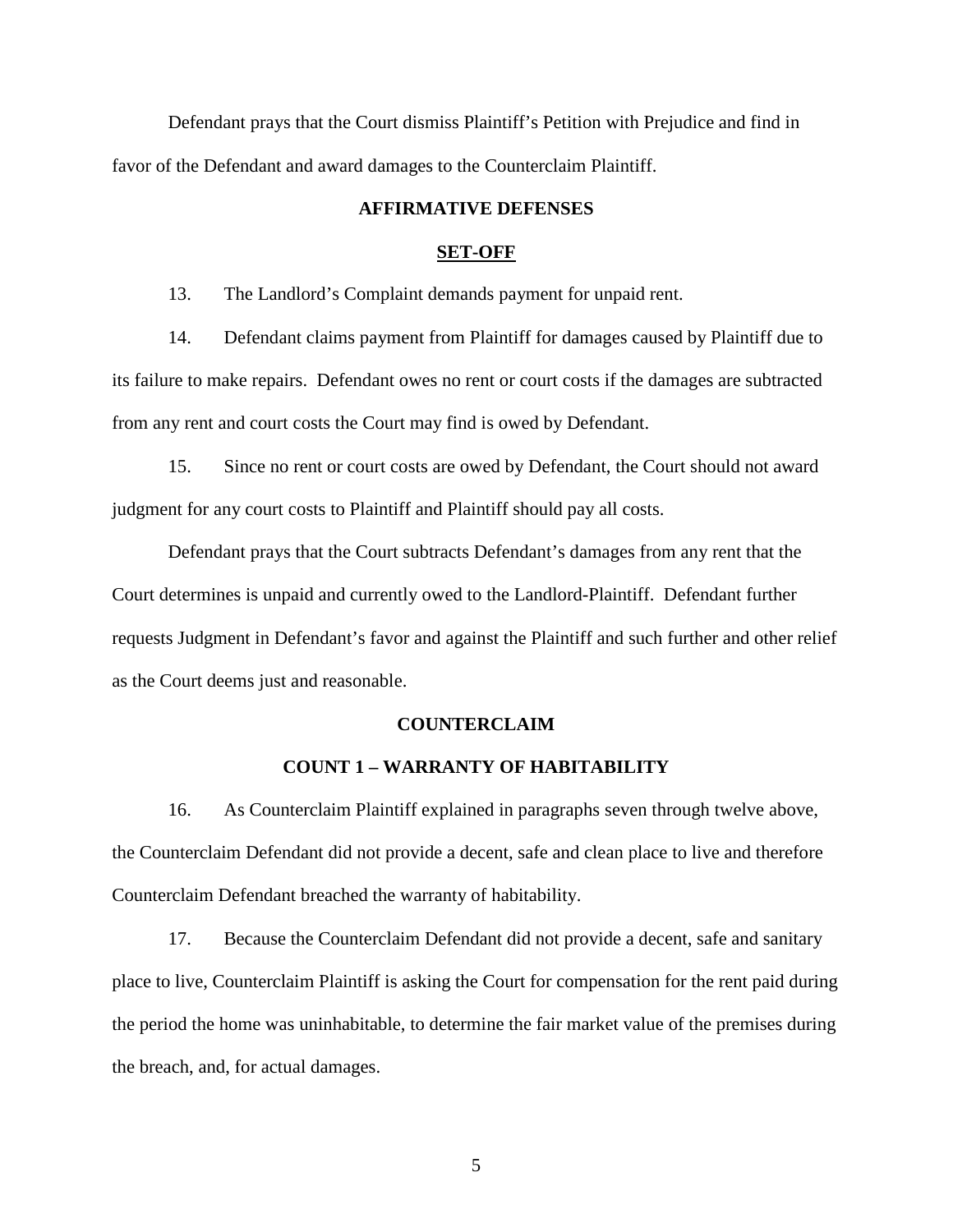Defendant prays that the Court dismiss Plaintiff's Petition with Prejudice and find in favor of the Defendant and award damages to the Counterclaim Plaintiff.

### **AFFIRMATIVE DEFENSES**

#### **SET-OFF**

13. The Landlord's Complaint demands payment for unpaid rent.

14. Defendant claims payment from Plaintiff for damages caused by Plaintiff due to its failure to make repairs. Defendant owes no rent or court costs if the damages are subtracted from any rent and court costs the Court may find is owed by Defendant.

15. Since no rent or court costs are owed by Defendant, the Court should not award judgment for any court costs to Plaintiff and Plaintiff should pay all costs.

Defendant prays that the Court subtracts Defendant's damages from any rent that the Court determines is unpaid and currently owed to the Landlord-Plaintiff. Defendant further requests Judgment in Defendant's favor and against the Plaintiff and such further and other relief as the Court deems just and reasonable.

#### **COUNTERCLAIM**

### **COUNT 1 – WARRANTY OF HABITABILITY**

16. As Counterclaim Plaintiff explained in paragraphs seven through twelve above, the Counterclaim Defendant did not provide a decent, safe and clean place to live and therefore Counterclaim Defendant breached the warranty of habitability.

17. Because the Counterclaim Defendant did not provide a decent, safe and sanitary place to live, Counterclaim Plaintiff is asking the Court for compensation for the rent paid during the period the home was uninhabitable, to determine the fair market value of the premises during the breach, and, for actual damages.

5